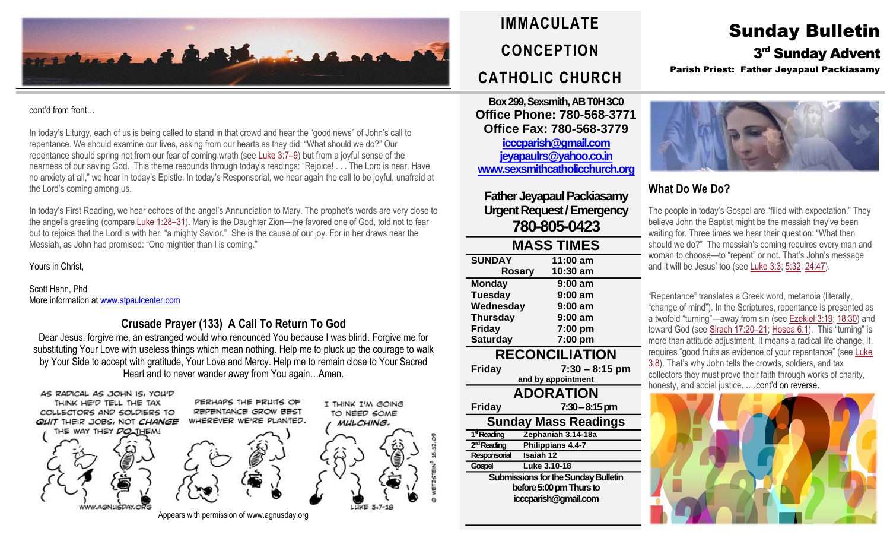

#### cont'd from front…

In today's Liturgy, each of us is being called to stand in that crowd and hear the "good news" of John's call to repentance. We should examine our lives, asking from our hearts as they did: "What should we do?" Our repentance should spring not from our fear of coming wrath (see [Luke](https://biblia.com/bible/rsvce/Luke%203.7%E2%80%939) 3:7–9) but from a joyful sense of the nearness of our saving God. This theme resounds through today's readings: "Rejoice! . . . The Lord is near. Have no anxiety at all," we hear in today's Epistle. In today's Responsorial, we hear again the call to be joyful, unafraid at the Lord's coming among us.

In today's First Reading, we hear echoes of the angel's Annunciation to Mary. The prophet's words are very close to the angel's greeting (compare [Luke](https://biblia.com/bible/rsvce/Luke%201.28%E2%80%9331) 1:28–31). Mary is the Daughter Zion—the favored one of God, told not to fear but to rejoice that the Lord is with her, "a mighty Savior." She is the cause of our joy. For in her draws near the Messiah, as John had promised: "One mightier than I is coming."

Yours in Christ,

Scott Hahn, Phd More information a[t www.stpaulcenter.com](http://www.stpaulcenter.com/)

# **Crusade Prayer (133) A Call To Return To God**

Dear Jesus, forgive me, an estranged would who renounced You because I was blind. Forgive me for substituting Your Love with useless things which mean nothing. Help me to pluck up the courage to walk by Your Side to accept with gratitude, Your Love and Mercy. Help me to remain close to Your Sacred Heart and to never wander away from You again…Amen.







I THINK I'M GOING TO NEED SOME



Appears with permission of www.agnusday.org

# **IMMACULATE CONCEPTION CATHOLIC CHURCH**

**Box 299, Sexsmith, AB T0H 3C0 Office Phone: 780-568-3771 Office Fax: 780-568-3779 [icccparish@gmail.com](mailto:icccparish@gmail.com) [jeyapaulrs@yahoo.co.in](mailto:jeyapaulrs@yahoo.co.in) [www.sexsmithcatholicchurch.org](http://www.sexsmithcatholicchurch.org/)**

**Father Jeyapaul Packiasamy Urgent Request/Emergency 780-805-0423**

#### **MASS TIMES SUNDAY 11:00 am Rosary 10:30 am Monday 9:00 am Tuesday 9:00 am Wednesday 9:00 am Thursday 9:00 am Friday 7:00 pm Saturday 7:00 pm RECONCILIATION Friday 7:30 – 8:15 pm and by appointment ADORATION Friday 7:30–8:15 pm Sunday Mass Readings** 1<sup>st</sup> Reading **stReading Zephaniah 3.14-18a** 2<sup>nd</sup> Reading **Philippians 4.4-7 Responsorial Isaiah 12**

**Submissions for the Sunday Bulletin before 5:00 pm Thursto icccparish@gmail.com**

**Gospel Luke 3.10-18**

Sunday Bulletin

3<sup>rd</sup> Sunday Advent

Parish Priest: Father Jeyapaul Packiasamy



# **What Do We Do?**

The people in today's Gospel are "filled with expectation." They believe John the Baptist might be the messiah they've been waiting for. Three times we hear their question: "What then should we do?" The messiah's coming requires every man and woman to choose—to "repent" or not. That's John's message and it will be Jesus' too (see [Luke](https://biblia.com/bible/rsvce/Luke%203.3) 3:3; [5:32;](https://biblia.com/bible/rsvce/Luke%205.32) [24:47\)](https://biblia.com/bible/rsvce/Luke%2024.47).

"Repentance" translates a Greek word, metanoia (literally, "change of mind"). In the Scriptures, repentance is presented as a twofold "turning"—away from sin (see [Ezekiel](https://biblia.com/bible/rsvce/Ezek%203.19) 3:19; [18:30\)](https://biblia.com/bible/rsvce/Ezekiel%2018.30) and toward God (see [Sirach](https://biblia.com/bible/rsvce/Sirach%2017.20%E2%80%9321) 17:20–21; [Hosea](https://biblia.com/bible/rsvce/Hos%206.1) 6:1). This "turning" is more than attitude adjustment. It means a radical life change. It requires "good fruits as evidence of your repentance" (see [Luke](https://biblia.com/bible/rsvce/Luke%203.8) [3:8](https://biblia.com/bible/rsvce/Luke%203.8)). That's why John tells the crowds, soldiers, and tax collectors they must prove their faith through works of charity, honesty, and social justice......cont'd on reverse.